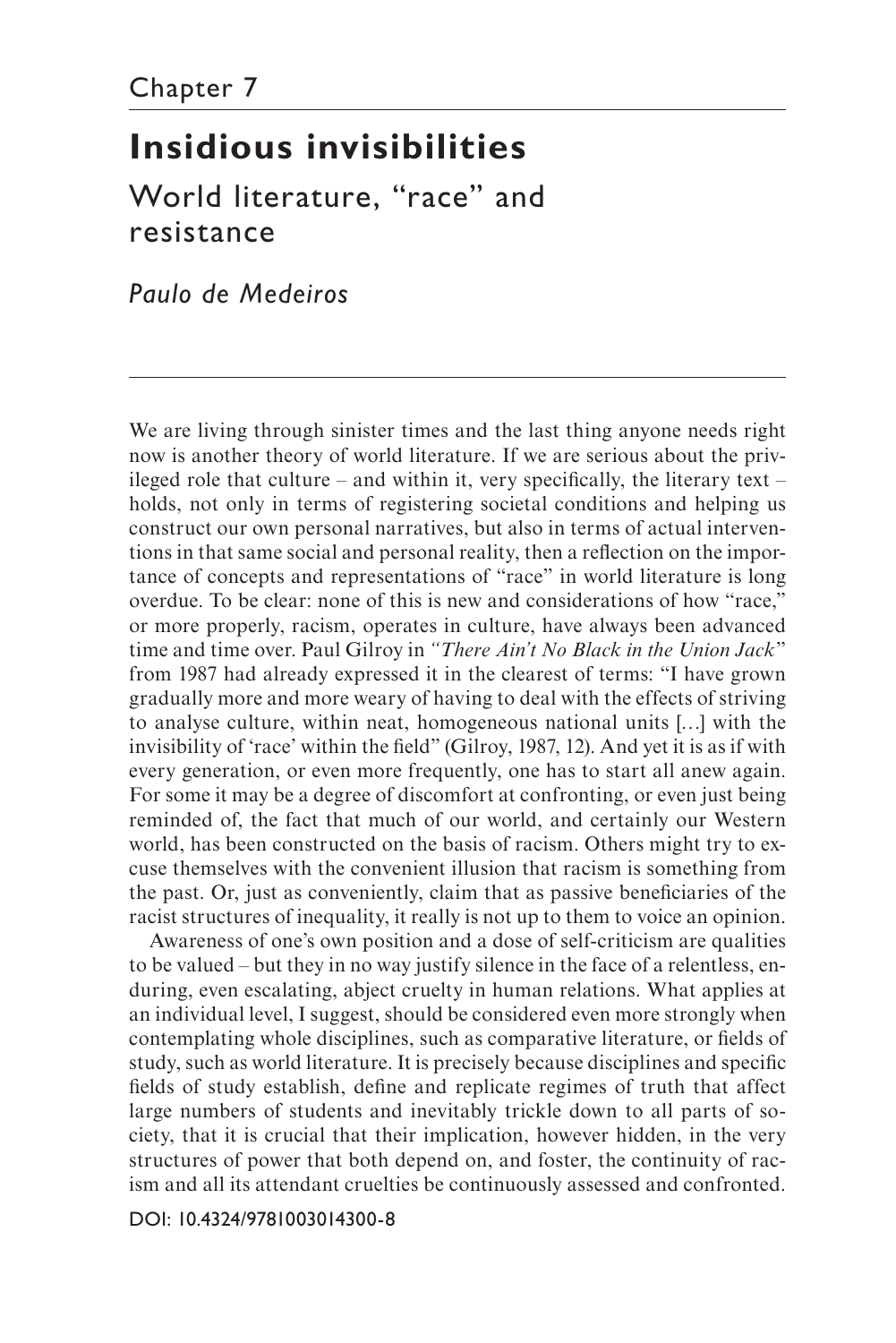# **Insidious invisibilities**

World literature, "race" and resistance

*Paulo de Medeiros* 

We are living through sinister times and the last thing anyone needs right now is another theory of world literature. If we are serious about the privileged role that culture – and within it, very specifically, the literary text – holds, not only in terms of registering societal conditions and helping us construct our own personal narratives, but also in terms of actual interventions in that same social and personal reality, then a refection on the importance of concepts and representations of "race" in world literature is long overdue. To be clear: none of this is new and considerations of how "race," or more properly, racism, operates in culture, have always been advanced time and time over. Paul Gilroy in *"There Ain't No Black in the Union Jack*" from 1987 had already expressed it in the clearest of terms: "I have grown gradually more and more weary of having to deal with the effects of striving to analyse culture, within neat, homogeneous national units […] with the invisibility of 'race' within the feld" (Gilroy, 1987, 12). And yet it is as if with every generation, or even more frequently, one has to start all anew again. For some it may be a degree of discomfort at confronting, or even just being reminded of, the fact that much of our world, and certainly our Western world, has been constructed on the basis of racism. Others might try to excuse themselves with the convenient illusion that racism is something from the past. Or, just as conveniently, claim that as passive benefciaries of the racist structures of inequality, it really is not up to them to voice an opinion.

Awareness of one's own position and a dose of self-criticism are qualities to be valued – but they in no way justify silence in the face of a relentless, enduring, even escalating, abject cruelty in human relations. What applies at an individual level, I suggest, should be considered even more strongly when contemplating whole disciplines, such as comparative literature, or felds of study, such as world literature. It is precisely because disciplines and specifc felds of study establish, defne and replicate regimes of truth that affect large numbers of students and inevitably trickle down to all parts of society, that it is crucial that their implication, however hidden, in the very structures of power that both depend on, and foster, the continuity of racism and all its attendant cruelties be continuously assessed and confronted.

[DOI: 10.4324/9781003014300-8](https://doi.org/10.4324/9781003014300-8)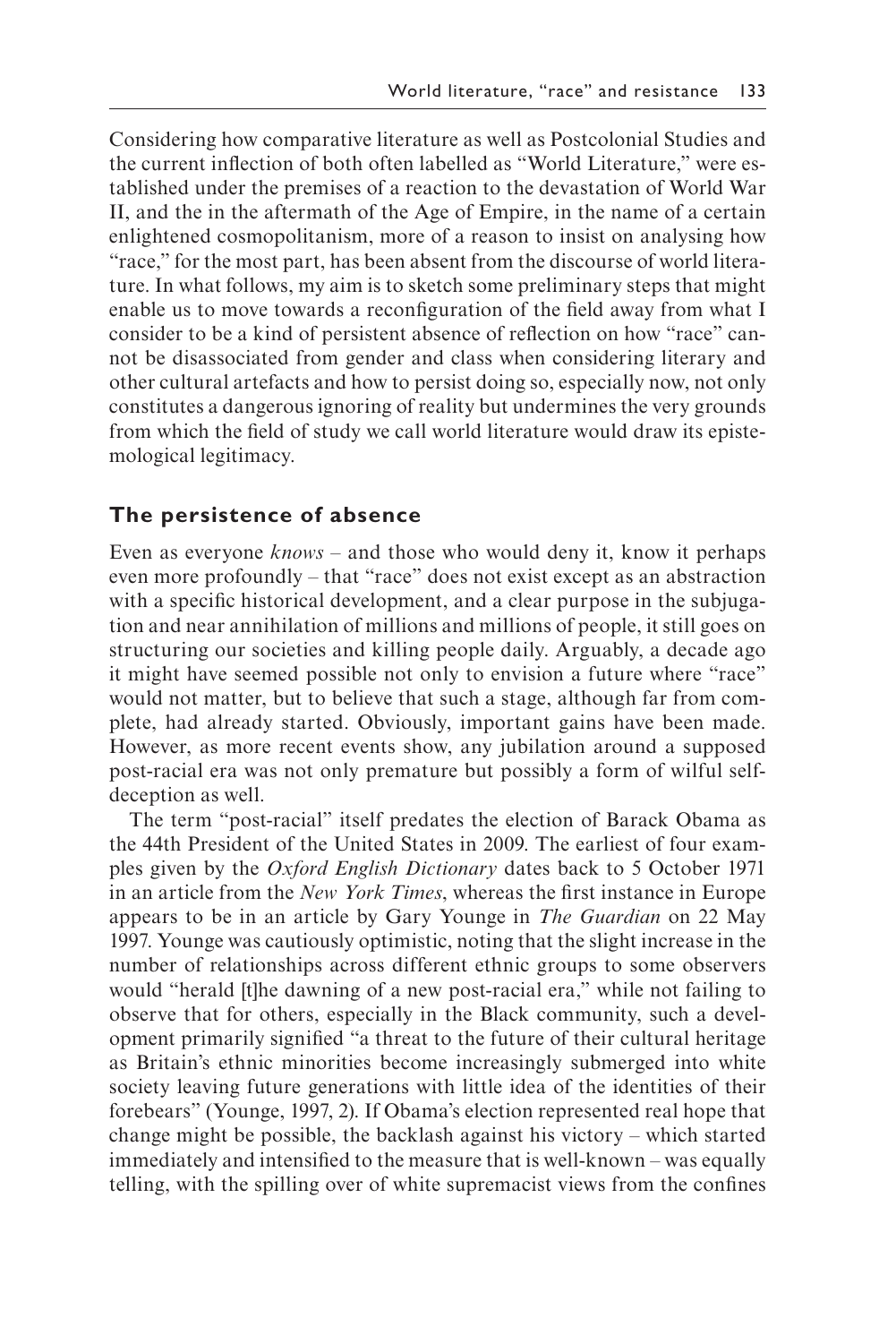Considering how comparative literature as well as Postcolonial Studies and the current infection of both often labelled as "World Literature," were established under the premises of a reaction to the devastation of World War II, and the in the aftermath of the Age of Empire, in the name of a certain enlightened cosmopolitanism, more of a reason to insist on analysing how "race," for the most part, has been absent from the discourse of world literature. In what follows, my aim is to sketch some preliminary steps that might enable us to move towards a reconfiguration of the field away from what I consider to be a kind of persistent absence of refection on how "race" cannot be disassociated from gender and class when considering literary and other cultural artefacts and how to persist doing so, especially now, not only constitutes a dangerous ignoring of reality but undermines the very grounds from which the feld of study we call world literature would draw its epistemological legitimacy.

### **The persistence of absence**

Even as everyone *knows* – and those who would deny it, know it perhaps even more profoundly – that "race" does not exist except as an abstraction with a specific historical development, and a clear purpose in the subjugation and near annihilation of millions and millions of people, it still goes on structuring our societies and killing people daily. Arguably, a decade ago it might have seemed possible not only to envision a future where "race" would not matter, but to believe that such a stage, although far from complete, had already started. Obviously, important gains have been made. However, as more recent events show, any jubilation around a supposed post-racial era was not only premature but possibly a form of wilful selfdeception as well.

The term "post-racial" itself predates the election of Barack Obama as the 44th President of the United States in 2009. The earliest of four examples given by the *Oxford English Dictionary* dates back to 5 October 1971 in an article from the *New York Times*, whereas the frst instance in Europe appears to be in an article by Gary Younge in *The Guardian* on 22 May 1997. Younge was cautiously optimistic, noting that the slight increase in the number of relationships across different ethnic groups to some observers would "herald [t]he dawning of a new post-racial era," while not failing to observe that for others, especially in the Black community, such a development primarily signifed "a threat to the future of their cultural heritage as Britain's ethnic minorities become increasingly submerged into white society leaving future generations with little idea of the identities of their forebears" (Younge, 1997, 2). If Obama's election represented real hope that change might be possible, the backlash against his victory – which started immediately and intensifed to the measure that is well-known – was equally telling, with the spilling over of white supremacist views from the confnes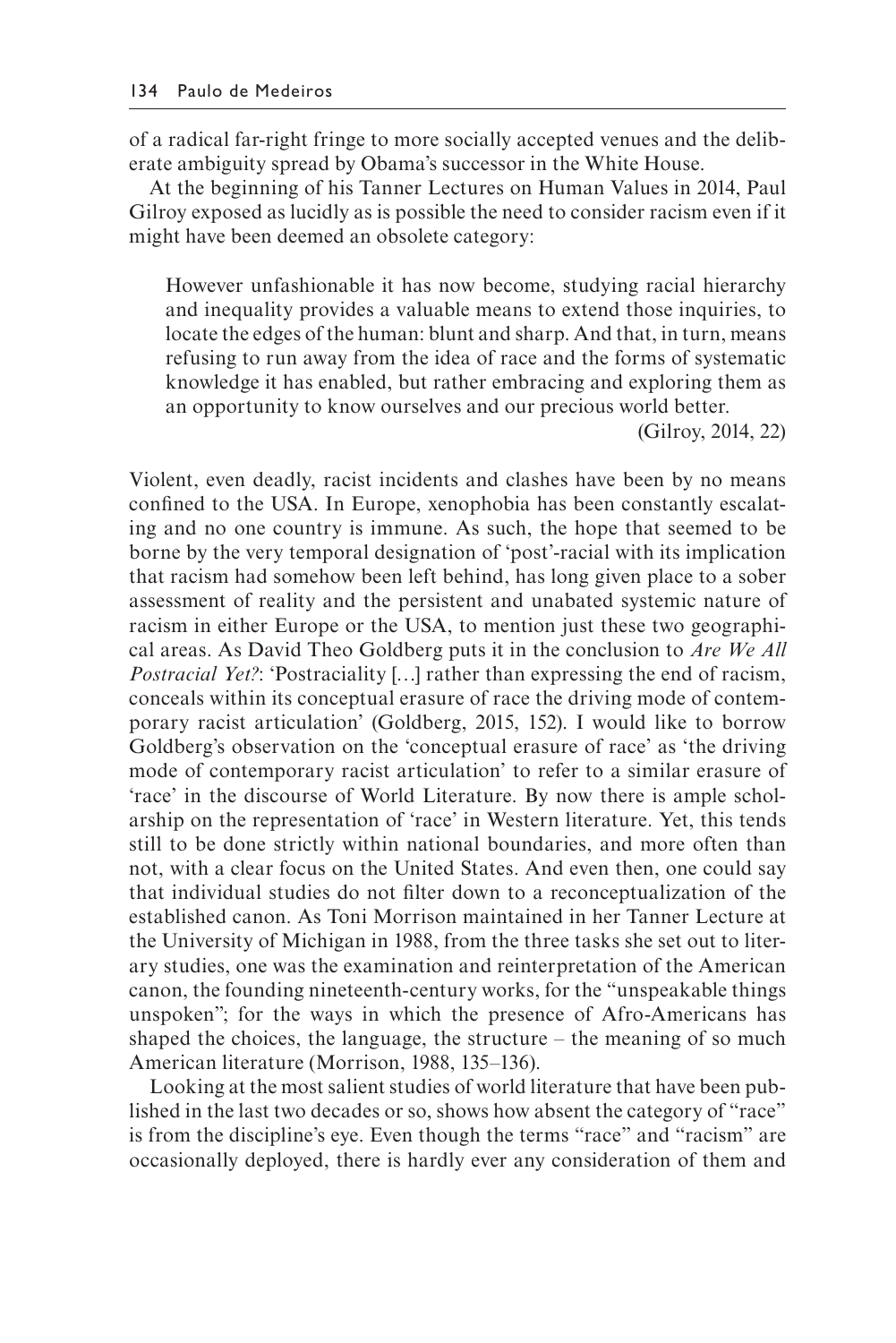of a radical far-right fringe to more socially accepted venues and the deliberate ambiguity spread by Obama's successor in the White House.

At the beginning of his Tanner Lectures on Human Values in 2014, Paul Gilroy exposed as lucidly as is possible the need to consider racism even if it might have been deemed an obsolete category:

However unfashionable it has now become, studying racial hierarchy and inequality provides a valuable means to extend those inquiries, to locate the edges of the human: blunt and sharp. And that, in turn, means refusing to run away from the idea of race and the forms of systematic knowledge it has enabled, but rather embracing and exploring them as an opportunity to know ourselves and our precious world better.

(Gilroy, 2014, 22)

Violent, even deadly, racist incidents and clashes have been by no means confned to the USA. In Europe, xenophobia has been constantly escalating and no one country is immune. As such, the hope that seemed to be borne by the very temporal designation of 'post'-racial with its implication that racism had somehow been left behind, has long given place to a sober assessment of reality and the persistent and unabated systemic nature of racism in either Europe or the USA, to mention just these two geographical areas. As David Theo Goldberg puts it in the conclusion to *Are We All Postracial Yet?*: 'Postraciality [...] rather than expressing the end of racism, conceals within its conceptual erasure of race the driving mode of contemporary racist articulation' (Goldberg, 2015, 152). I would like to borrow Goldberg's observation on the 'conceptual erasure of race' as 'the driving mode of contemporary racist articulation' to refer to a similar erasure of 'race' in the discourse of World Literature. By now there is ample scholarship on the representation of 'race' in Western literature. Yet, this tends still to be done strictly within national boundaries, and more often than not, with a clear focus on the United States. And even then, one could say that individual studies do not flter down to a reconceptualization of the established canon. As Toni Morrison maintained in her Tanner Lecture at the University of Michigan in 1988, from the three tasks she set out to literary studies, one was the examination and reinterpretation of the American canon, the founding nineteenth-century works, for the "unspeakable things unspoken"; for the ways in which the presence of Afro-Americans has shaped the choices, the language, the structure – the meaning of so much American literature (Morrison, 1988, 135–136).

Looking at the most salient studies of world literature that have been published in the last two decades or so, shows how absent the category of "race" is from the discipline's eye. Even though the terms "race" and "racism" are occasionally deployed, there is hardly ever any consideration of them and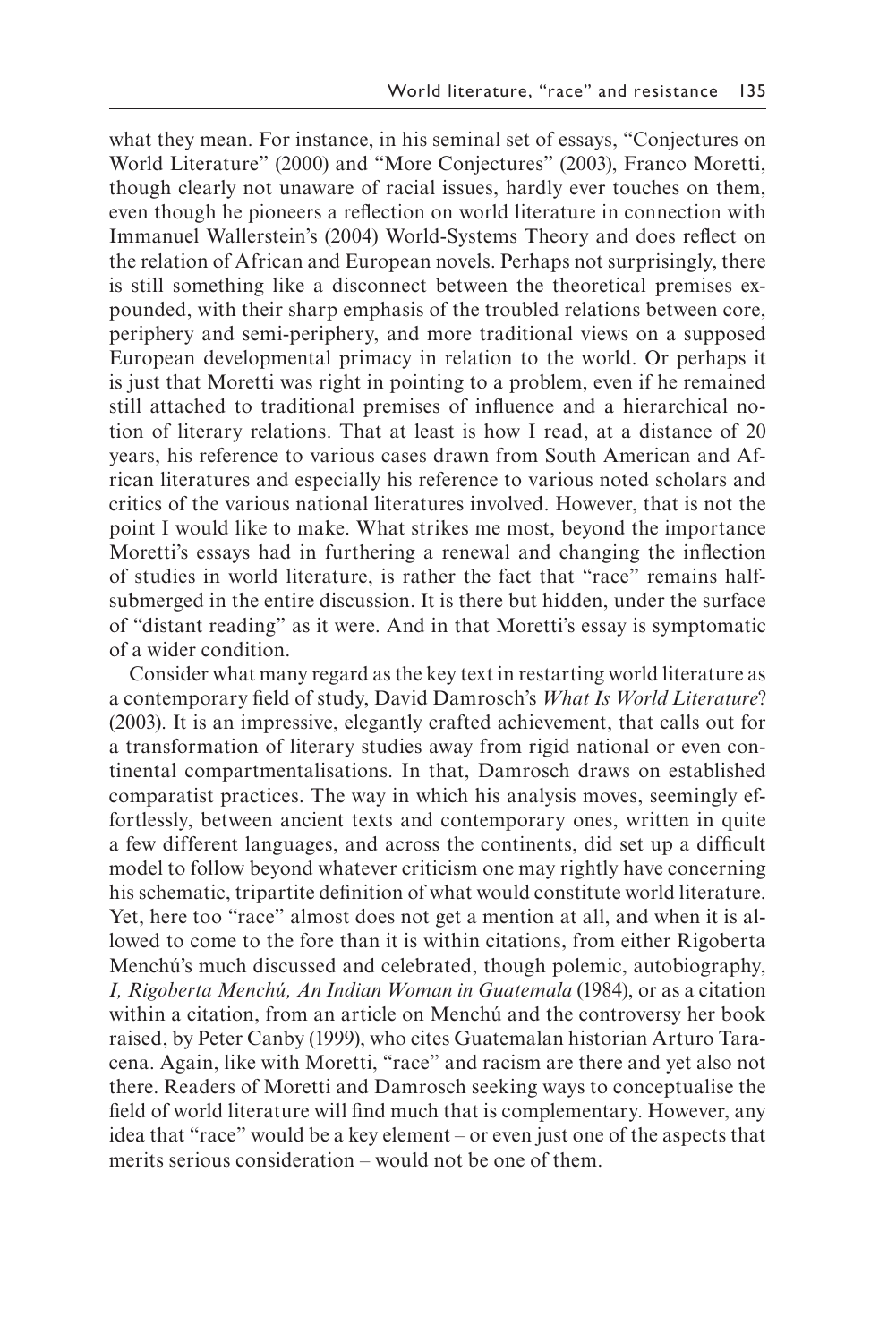what they mean. For instance, in his seminal set of essays, "Conjectures on World Literature" (2000) and "More Conjectures" (2003), Franco Moretti, though clearly not unaware of racial issues, hardly ever touches on them, even though he pioneers a refection on world literature in connection with Immanuel Wallerstein's (2004) World-Systems Theory and does refect on the relation of African and European novels. Perhaps not surprisingly, there is still something like a disconnect between the theoretical premises expounded, with their sharp emphasis of the troubled relations between core, periphery and semi-periphery, and more traditional views on a supposed European developmental primacy in relation to the world. Or perhaps it is just that Moretti was right in pointing to a problem, even if he remained still attached to traditional premises of infuence and a hierarchical notion of literary relations. That at least is how I read, at a distance of 20 years, his reference to various cases drawn from South American and African literatures and especially his reference to various noted scholars and critics of the various national literatures involved. However, that is not the point I would like to make. What strikes me most, beyond the importance Moretti's essays had in furthering a renewal and changing the infection of studies in world literature, is rather the fact that "race" remains halfsubmerged in the entire discussion. It is there but hidden, under the surface of "distant reading" as it were. And in that Moretti's essay is symptomatic of a wider condition.

Consider what many regard as the key text in restarting world literature as a contemporary feld of study, David Damrosch's *What Is World Literature*? (2003). It is an impressive, elegantly crafted achievement, that calls out for a transformation of literary studies away from rigid national or even continental compartmentalisations. In that, Damrosch draws on established comparatist practices. The way in which his analysis moves, seemingly effortlessly, between ancient texts and contemporary ones, written in quite a few different languages, and across the continents, did set up a diffcult model to follow beyond whatever criticism one may rightly have concerning his schematic, tripartite defnition of what would constitute world literature. Yet, here too "race" almost does not get a mention at all, and when it is allowed to come to the fore than it is within citations, from either Rigoberta Menchú's much discussed and celebrated, though polemic, autobiography, *I, Rigoberta Menchú, An Indian Woman in Guatemala* (1984), or as a citation within a citation, from an article on Menchú and the controversy her book raised, by Peter Canby (1999), who cites Guatemalan historian Arturo Taracena. Again, like with Moretti, "race" and racism are there and yet also not there. Readers of Moretti and Damrosch seeking ways to conceptualise the feld of world literature will fnd much that is complementary. However, any idea that "race" would be a key element – or even just one of the aspects that merits serious consideration – would not be one of them.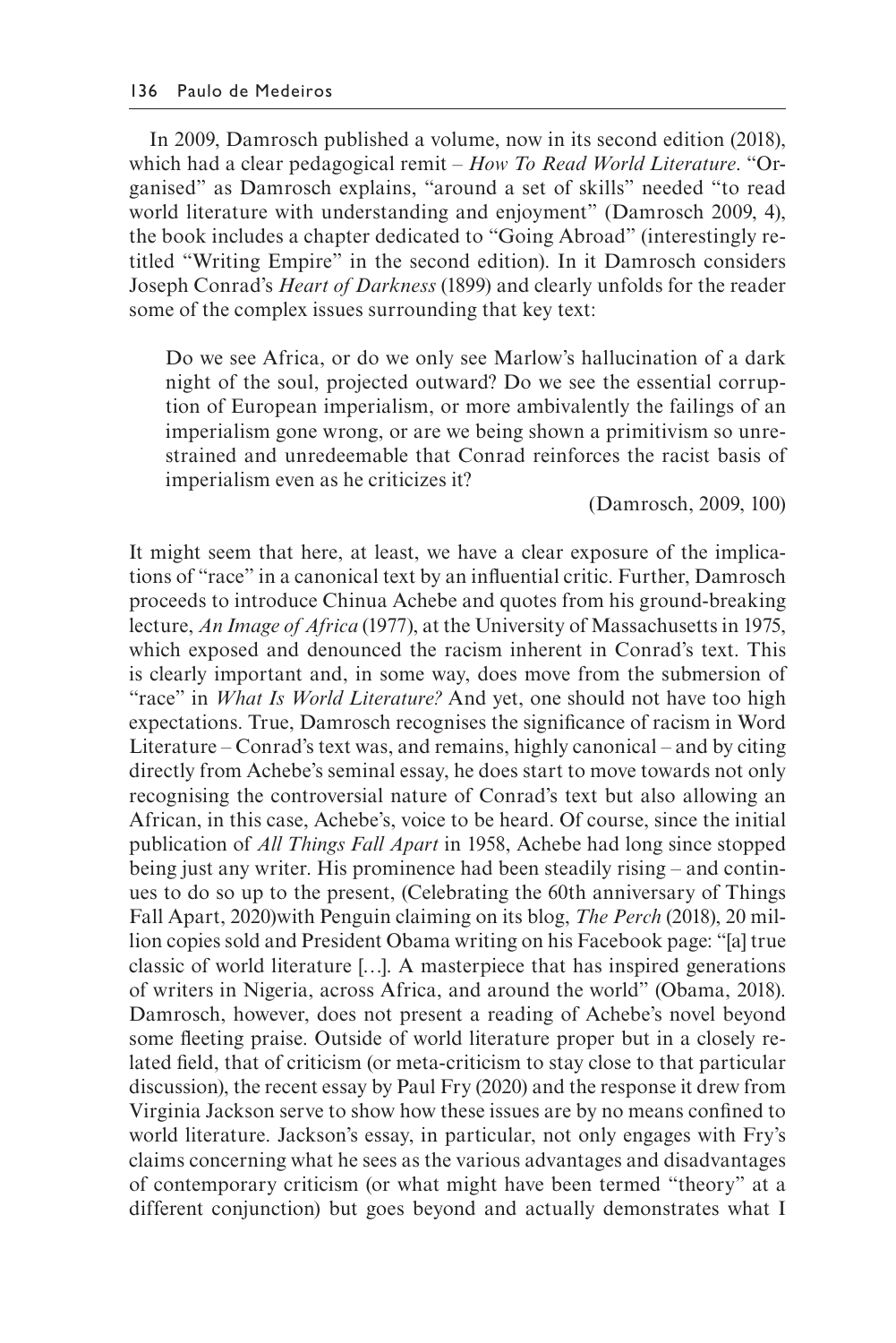In 2009, Damrosch published a volume, now in its second edition (2018), which had a clear pedagogical remit – *How To Read World Literature*. "Organised" as Damrosch explains, "around a set of skills" needed "to read world literature with understanding and enjoyment" (Damrosch 2009, 4). the book includes a chapter dedicated to "Going Abroad" (interestingly retitled "Writing Empire" in the second edition). In it Damrosch considers Joseph Conrad's *Heart of Darkness* (1899) and clearly unfolds for the reader some of the complex issues surrounding that key text:

Do we see Africa, or do we only see Marlow's hallucination of a dark night of the soul, projected outward? Do we see the essential corruption of European imperialism, or more ambivalently the failings of an imperialism gone wrong, or are we being shown a primitivism so unrestrained and unredeemable that Conrad reinforces the racist basis of imperialism even as he criticizes it?

(Damrosch, 2009, 100)

It might seem that here, at least, we have a clear exposure of the implications of "race" in a canonical text by an infuential critic. Further, Damrosch proceeds to introduce Chinua Achebe and quotes from his ground-breaking lecture, *An Image of Africa* (1977), at the University of Massachusetts in 1975, which exposed and denounced the racism inherent in Conrad's text. This is clearly important and, in some way, does move from the submersion of "race" in *What Is World Literature?* And yet, one should not have too high expectations. True, Damrosch recognises the signifcance of racism in Word Literature – Conrad's text was, and remains, highly canonical – and by citing directly from Achebe's seminal essay, he does start to move towards not only recognising the controversial nature of Conrad's text but also allowing an African, in this case, Achebe's, voice to be heard. Of course, since the initial publication of *All Things Fall Apart* in 1958, Achebe had long since stopped being just any writer. His prominence had been steadily rising – and continues to do so up to the present, (Celebrating the 60th anniversary of Things Fall Apart, 2020)with Penguin claiming on its blog, *The Perch* (2018), 20 million copies sold and President Obama writing on his Facebook page: "[a] true classic of world literature […]. A masterpiece that has inspired generations of writers in Nigeria, across Africa, and around the world" (Obama, 2018). Damrosch, however, does not present a reading of Achebe's novel beyond some feeting praise. Outside of world literature proper but in a closely related feld, that of criticism (or meta-criticism to stay close to that particular discussion), the recent essay by Paul Fry (2020) and the response it drew from Virginia Jackson serve to show how these issues are by no means confned to world literature. Jackson's essay, in particular, not only engages with Fry's claims concerning what he sees as the various advantages and disadvantages of contemporary criticism (or what might have been termed "theory" at a different conjunction) but goes beyond and actually demonstrates what I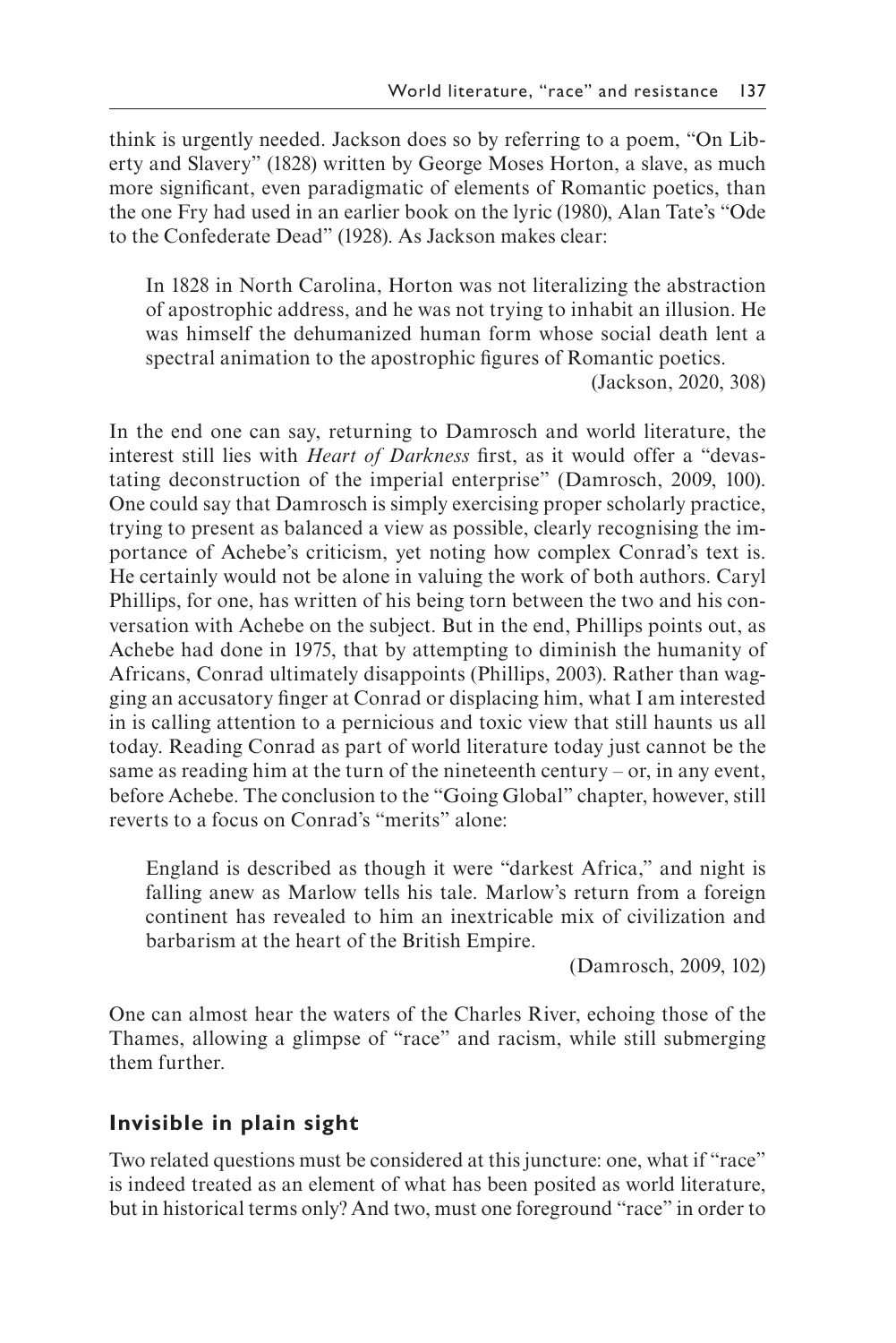think is urgently needed. Jackson does so by referring to a poem, "On Liberty and Slavery" (1828) written by George Moses Horton, a slave, as much more signifcant, even paradigmatic of elements of Romantic poetics, than the one Fry had used in an earlier book on the lyric (1980), Alan Tate's "Ode to the Confederate Dead" (1928). As Jackson makes clear:

In 1828 in North Carolina, Horton was not literalizing the abstraction of apostrophic address, and he was not trying to inhabit an illusion. He was himself the dehumanized human form whose social death lent a spectral animation to the apostrophic fgures of Romantic poetics.

(Jackson, 2020, 308)

In the end one can say, returning to Damrosch and world literature, the interest still lies with *Heart of Darkness* frst, as it would offer a "devastating deconstruction of the imperial enterprise" (Damrosch, 2009, 100). One could say that Damrosch is simply exercising proper scholarly practice, trying to present as balanced a view as possible, clearly recognising the importance of Achebe's criticism, yet noting how complex Conrad's text is. He certainly would not be alone in valuing the work of both authors. Caryl Phillips, for one, has written of his being torn between the two and his conversation with Achebe on the subject. But in the end, Phillips points out, as Achebe had done in 1975, that by attempting to diminish the humanity of Africans, Conrad ultimately disappoints (Phillips, 2003). Rather than wagging an accusatory fnger at Conrad or displacing him, what I am interested in is calling attention to a pernicious and toxic view that still haunts us all today. Reading Conrad as part of world literature today just cannot be the same as reading him at the turn of the nineteenth century – or, in any event, before Achebe. The conclusion to the "Going Global" chapter, however, still reverts to a focus on Conrad's "merits" alone:

England is described as though it were "darkest Africa," and night is falling anew as Marlow tells his tale. Marlow's return from a foreign continent has revealed to him an inextricable mix of civilization and barbarism at the heart of the British Empire.

(Damrosch, 2009, 102)

One can almost hear the waters of the Charles River, echoing those of the Thames, allowing a glimpse of "race" and racism, while still submerging them further.

# **Invisible in plain sight**

Two related questions must be considered at this juncture: one, what if "race" is indeed treated as an element of what has been posited as world literature, but in historical terms only? And two, must one foreground "race" in order to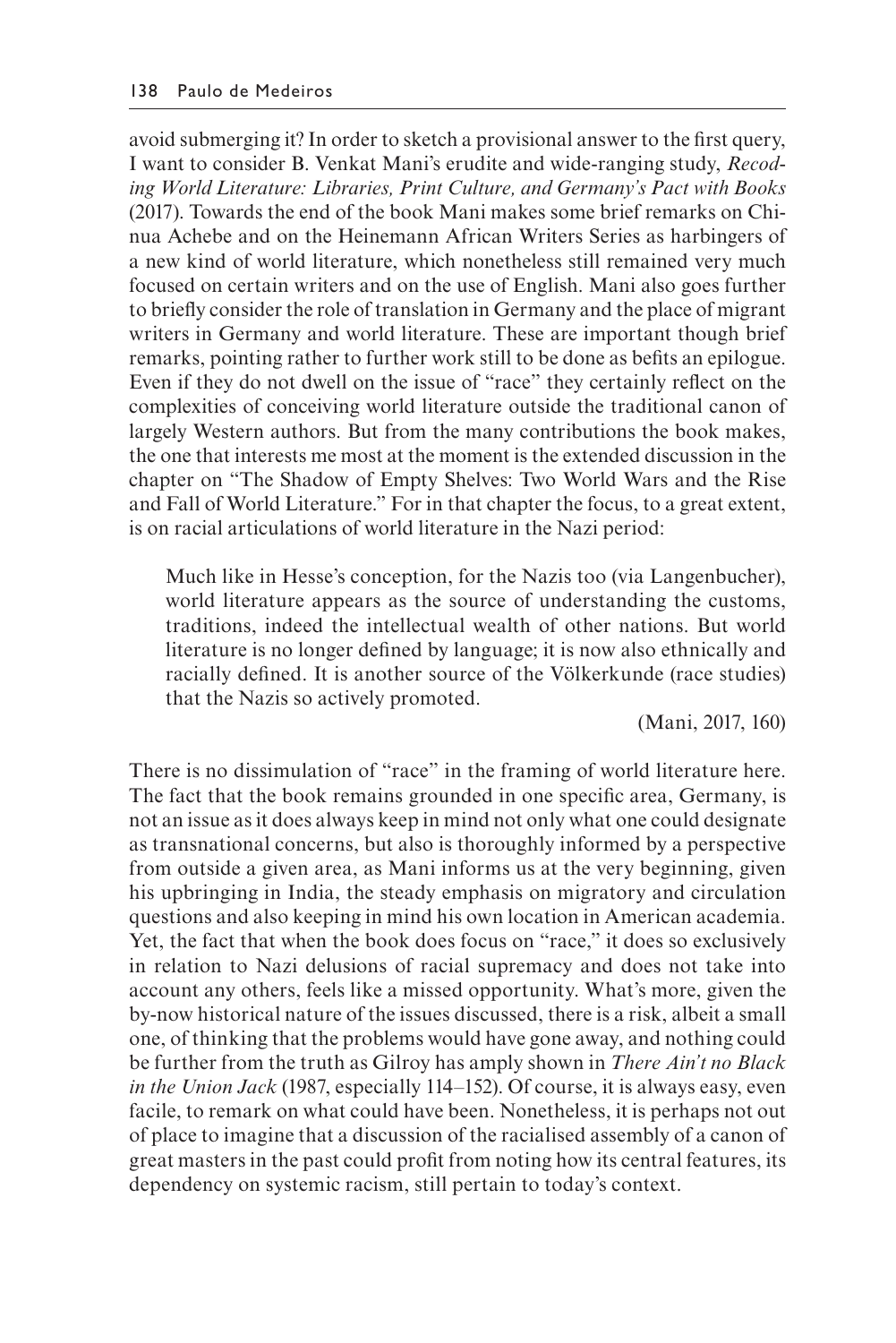avoid submerging it? In order to sketch a provisional answer to the frst query, I want to consider B. Venkat Mani's erudite and wide-ranging study, *Recoding World Literature: Libraries, Print Culture, and Germany's Pact with Books*  (2017). Towards the end of the book Mani makes some brief remarks on Chinua Achebe and on the Heinemann African Writers Series as harbingers of a new kind of world literature, which nonetheless still remained very much focused on certain writers and on the use of English. Mani also goes further to briefy consider the role of translation in Germany and the place of migrant writers in Germany and world literature. These are important though brief remarks, pointing rather to further work still to be done as befts an epilogue. Even if they do not dwell on the issue of "race" they certainly refect on the complexities of conceiving world literature outside the traditional canon of largely Western authors. But from the many contributions the book makes, the one that interests me most at the moment is the extended discussion in the chapter on "The Shadow of Empty Shelves: Two World Wars and the Rise and Fall of World Literature." For in that chapter the focus, to a great extent, is on racial articulations of world literature in the Nazi period:

Much like in Hesse's conception, for the Nazis too (via Langenbucher), world literature appears as the source of understanding the customs, traditions, indeed the intellectual wealth of other nations. But world literature is no longer defned by language; it is now also ethnically and racially defned. It is another source of the Völkerkunde (race studies) that the Nazis so actively promoted.

(Mani, 2017, 160)

There is no dissimulation of "race" in the framing of world literature here. The fact that the book remains grounded in one specifc area, Germany, is not an issue as it does always keep in mind not only what one could designate as transnational concerns, but also is thoroughly informed by a perspective from outside a given area, as Mani informs us at the very beginning, given his upbringing in India, the steady emphasis on migratory and circulation questions and also keeping in mind his own location in American academia. Yet, the fact that when the book does focus on "race," it does so exclusively in relation to Nazi delusions of racial supremacy and does not take into account any others, feels like a missed opportunity. What's more, given the by-now historical nature of the issues discussed, there is a risk, albeit a small one, of thinking that the problems would have gone away, and nothing could be further from the truth as Gilroy has amply shown in *There Ain't no Black in the Union Jack* (1987, especially 114–152). Of course, it is always easy, even facile, to remark on what could have been. Nonetheless, it is perhaps not out of place to imagine that a discussion of the racialised assembly of a canon of great masters in the past could proft from noting how its central features, its dependency on systemic racism, still pertain to today's context.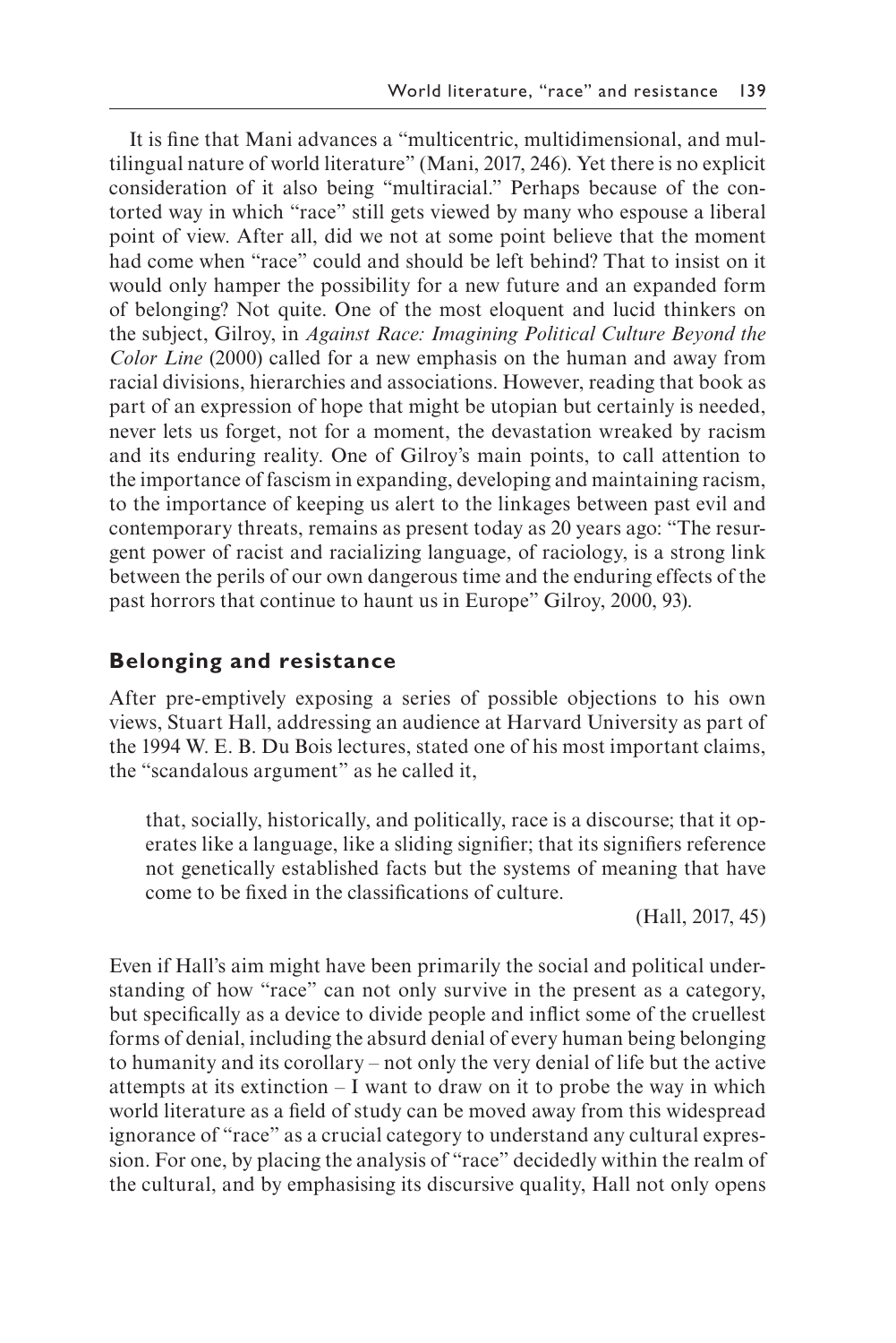It is fne that Mani advances a "multicentric, multidimensional, and multilingual nature of world literature" (Mani, 2017, 246). Yet there is no explicit consideration of it also being "multiracial." Perhaps because of the contorted way in which "race" still gets viewed by many who espouse a liberal point of view. After all, did we not at some point believe that the moment had come when "race" could and should be left behind? That to insist on it would only hamper the possibility for a new future and an expanded form of belonging? Not quite. One of the most eloquent and lucid thinkers on the subject, Gilroy, in *Against Race: Imagining Political Culture Beyond the Color Line* (2000) called for a new emphasis on the human and away from racial divisions, hierarchies and associations. However, reading that book as part of an expression of hope that might be utopian but certainly is needed, never lets us forget, not for a moment, the devastation wreaked by racism and its enduring reality. One of Gilroy's main points, to call attention to the importance of fascism in expanding, developing and maintaining racism, to the importance of keeping us alert to the linkages between past evil and contemporary threats, remains as present today as 20 years ago: "The resurgent power of racist and racializing language, of raciology, is a strong link between the perils of our own dangerous time and the enduring effects of the past horrors that continue to haunt us in Europe" Gilroy, 2000, 93).

#### **Belonging and resistance**

After pre-emptively exposing a series of possible objections to his own views, Stuart Hall, addressing an audience at Harvard University as part of the 1994 W. E. B. Du Bois lectures, stated one of his most important claims, the "scandalous argument" as he called it,

that, socially, historically, and politically, race is a discourse; that it operates like a language, like a sliding signifer; that its signifers reference not genetically established facts but the systems of meaning that have come to be fxed in the classifcations of culture.

(Hall, 2017, 45)

Even if Hall's aim might have been primarily the social and political understanding of how "race" can not only survive in the present as a category, but specifcally as a device to divide people and infict some of the cruellest forms of denial, including the absurd denial of every human being belonging to humanity and its corollary – not only the very denial of life but the active attempts at its extinction – I want to draw on it to probe the way in which world literature as a feld of study can be moved away from this widespread ignorance of "race" as a crucial category to understand any cultural expression. For one, by placing the analysis of "race" decidedly within the realm of the cultural, and by emphasising its discursive quality, Hall not only opens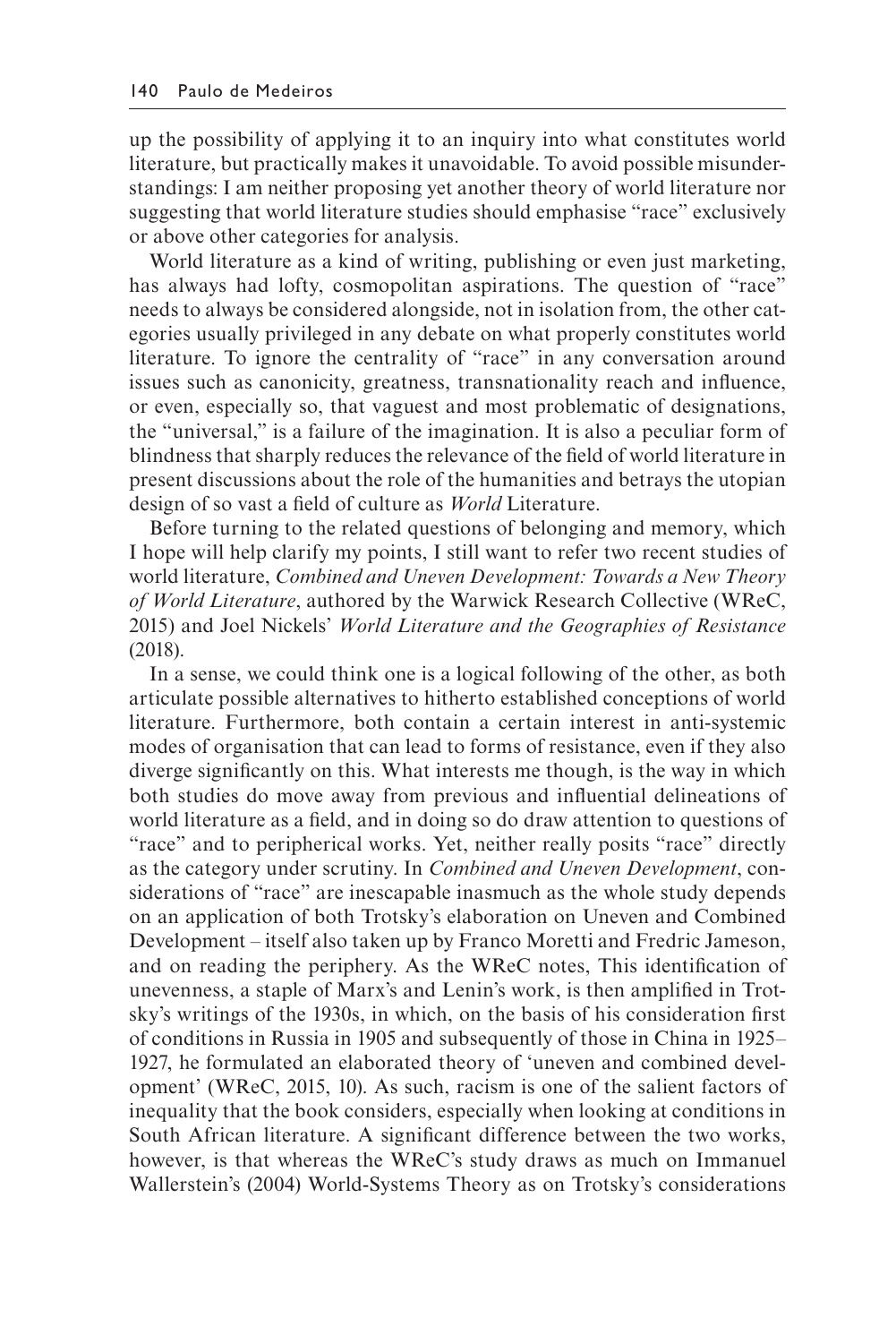up the possibility of applying it to an inquiry into what constitutes world literature, but practically makes it unavoidable. To avoid possible misunderstandings: I am neither proposing yet another theory of world literature nor suggesting that world literature studies should emphasise "race" exclusively or above other categories for analysis.

World literature as a kind of writing, publishing or even just marketing. has always had lofty, cosmopolitan aspirations. The question of "race" needs to always be considered alongside, not in isolation from, the other categories usually privileged in any debate on what properly constitutes world literature. To ignore the centrality of "race" in any conversation around issues such as canonicity, greatness, transnationality reach and infuence, or even, especially so, that vaguest and most problematic of designations, the "universal," is a failure of the imagination. It is also a peculiar form of blindness that sharply reduces the relevance of the feld of world literature in present discussions about the role of the humanities and betrays the utopian design of so vast a feld of culture as *World* Literature.

Before turning to the related questions of belonging and memory, which I hope will help clarify my points, I still want to refer two recent studies of world literature, *Combined and Uneven Development: Towards a New Theory of World Literature*, authored by the Warwick Research Collective (WReC, 2015) and Joel Nickels' *World Literature and the Geographies of Resistance*  (2018).

In a sense, we could think one is a logical following of the other, as both articulate possible alternatives to hitherto established conceptions of world literature. Furthermore, both contain a certain interest in anti-systemic modes of organisation that can lead to forms of resistance, even if they also diverge signifcantly on this. What interests me though, is the way in which both studies do move away from previous and infuential delineations of world literature as a feld, and in doing so do draw attention to questions of "race" and to peripherical works. Yet, neither really posits "race" directly as the category under scrutiny. In *Combined and Uneven Development*, considerations of "race" are inescapable inasmuch as the whole study depends on an application of both Trotsky's elaboration on Uneven and Combined Development – itself also taken up by Franco Moretti and Fredric Jameson, and on reading the periphery. As the WReC notes, This identifcation of unevenness, a staple of Marx's and Lenin's work, is then amplifed in Trotsky's writings of the 1930s, in which, on the basis of his consideration frst of conditions in Russia in 1905 and subsequently of those in China in 1925– 1927, he formulated an elaborated theory of 'uneven and combined development' (WReC, 2015, 10). As such, racism is one of the salient factors of inequality that the book considers, especially when looking at conditions in South African literature. A signifcant difference between the two works, however, is that whereas the WReC's study draws as much on Immanuel Wallerstein's (2004) World-Systems Theory as on Trotsky's considerations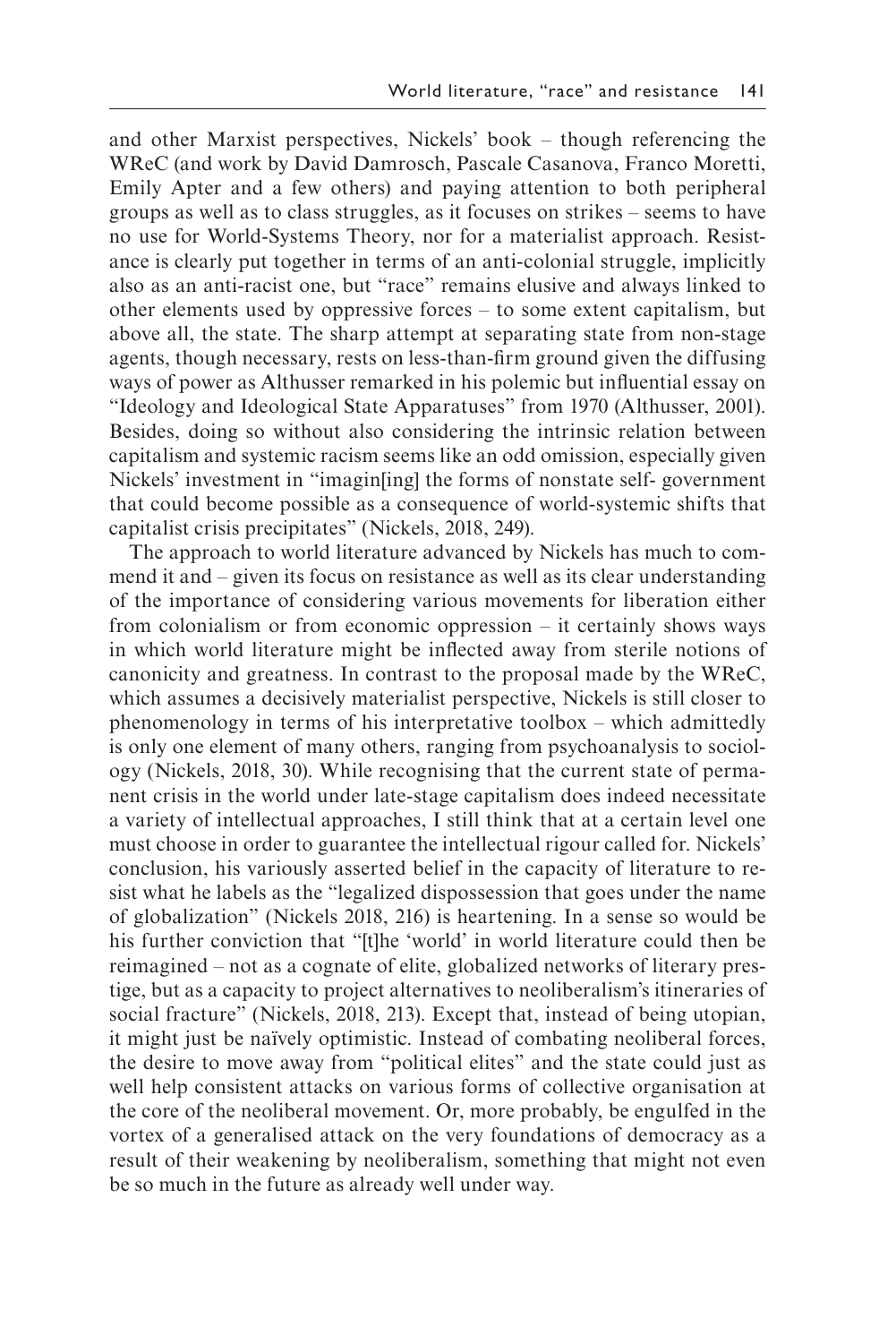and other Marxist perspectives, Nickels' book – though referencing the WReC (and work by David Damrosch, Pascale Casanova, Franco Moretti, Emily Apter and a few others) and paying attention to both peripheral groups as well as to class struggles, as it focuses on strikes – seems to have no use for World-Systems Theory, nor for a materialist approach. Resistance is clearly put together in terms of an anti-colonial struggle, implicitly also as an anti-racist one, but "race" remains elusive and always linked to other elements used by oppressive forces – to some extent capitalism, but above all, the state. The sharp attempt at separating state from non-stage agents, though necessary, rests on less-than-frm ground given the diffusing ways of power as Althusser remarked in his polemic but infuential essay on "Ideology and Ideological State Apparatuses" from 1970 (Althusser, 2001). Besides, doing so without also considering the intrinsic relation between capitalism and systemic racism seems like an odd omission, especially given Nickels' investment in "imagin[ing] the forms of nonstate self- government that could become possible as a consequence of world-systemic shifts that capitalist crisis precipitates" (Nickels, 2018, 249).

The approach to world literature advanced by Nickels has much to commend it and – given its focus on resistance as well as its clear understanding of the importance of considering various movements for liberation either from colonialism or from economic oppression – it certainly shows ways in which world literature might be infected away from sterile notions of canonicity and greatness. In contrast to the proposal made by the WReC, which assumes a decisively materialist perspective, Nickels is still closer to phenomenology in terms of his interpretative toolbox – which admittedly is only one element of many others, ranging from psychoanalysis to sociology (Nickels, 2018, 30). While recognising that the current state of permanent crisis in the world under late-stage capitalism does indeed necessitate a variety of intellectual approaches, I still think that at a certain level one must choose in order to guarantee the intellectual rigour called for. Nickels' conclusion, his variously asserted belief in the capacity of literature to resist what he labels as the "legalized dispossession that goes under the name of globalization" (Nickels 2018, 216) is heartening. In a sense so would be his further conviction that "[t]he 'world' in world literature could then be reimagined – not as a cognate of elite, globalized networks of literary prestige, but as a capacity to project alternatives to neoliberalism's itineraries of social fracture" (Nickels, 2018, 213). Except that, instead of being utopian, it might just be naïvely optimistic. Instead of combating neoliberal forces, the desire to move away from "political elites" and the state could just as well help consistent attacks on various forms of collective organisation at the core of the neoliberal movement. Or, more probably, be engulfed in the vortex of a generalised attack on the very foundations of democracy as a result of their weakening by neoliberalism, something that might not even be so much in the future as already well under way.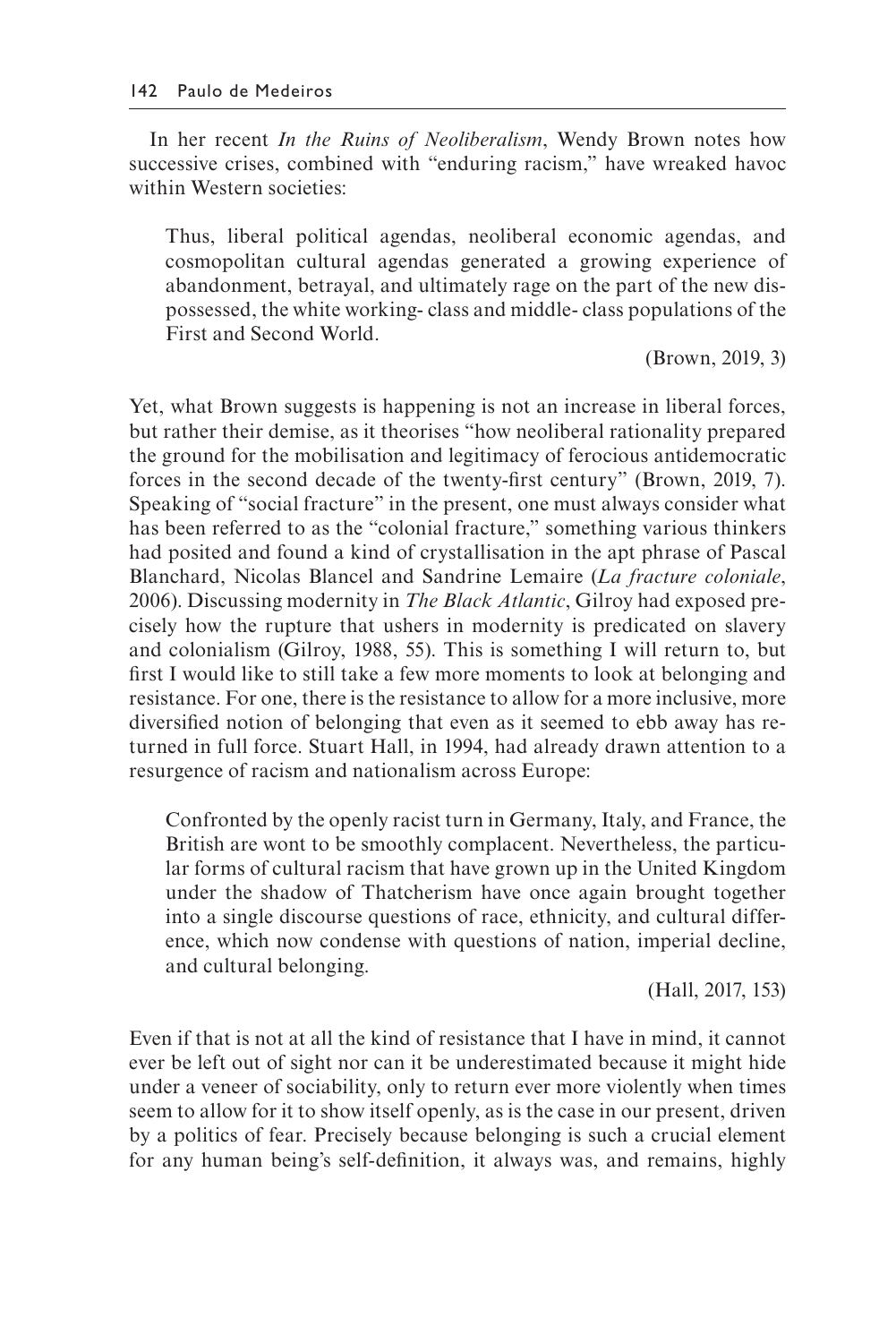In her recent *In the Ruins of Neoliberalism*, Wendy Brown notes how successive crises, combined with "enduring racism," have wreaked havoc within Western societies:

Thus, liberal political agendas, neoliberal economic agendas, and cosmopolitan cultural agendas generated a growing experience of abandonment, betrayal, and ultimately rage on the part of the new dispossessed, the white working- class and middle- class populations of the First and Second World.

(Brown, 2019, 3)

Yet, what Brown suggests is happening is not an increase in liberal forces, but rather their demise, as it theorises "how neoliberal rationality prepared the ground for the mobilisation and legitimacy of ferocious antidemocratic forces in the second decade of the twenty-frst century" (Brown, 2019, 7). Speaking of "social fracture" in the present, one must always consider what has been referred to as the "colonial fracture," something various thinkers had posited and found a kind of crystallisation in the apt phrase of Pascal Blanchard, Nicolas Blancel and Sandrine Lemaire (*La fracture coloniale*, 2006). Discussing modernity in *The Black Atlantic*, Gilroy had exposed precisely how the rupture that ushers in modernity is predicated on slavery and colonialism (Gilroy, 1988, 55). This is something I will return to, but frst I would like to still take a few more moments to look at belonging and resistance. For one, there is the resistance to allow for a more inclusive, more diversifed notion of belonging that even as it seemed to ebb away has returned in full force. Stuart Hall, in 1994, had already drawn attention to a resurgence of racism and nationalism across Europe:

Confronted by the openly racist turn in Germany, Italy, and France, the British are wont to be smoothly complacent. Nevertheless, the particular forms of cultural racism that have grown up in the United Kingdom under the shadow of Thatcherism have once again brought together into a single discourse questions of race, ethnicity, and cultural difference, which now condense with questions of nation, imperial decline, and cultural belonging.

(Hall, 2017, 153)

Even if that is not at all the kind of resistance that I have in mind, it cannot ever be left out of sight nor can it be underestimated because it might hide under a veneer of sociability, only to return ever more violently when times seem to allow for it to show itself openly, as is the case in our present, driven by a politics of fear. Precisely because belonging is such a crucial element for any human being's self-defnition, it always was, and remains, highly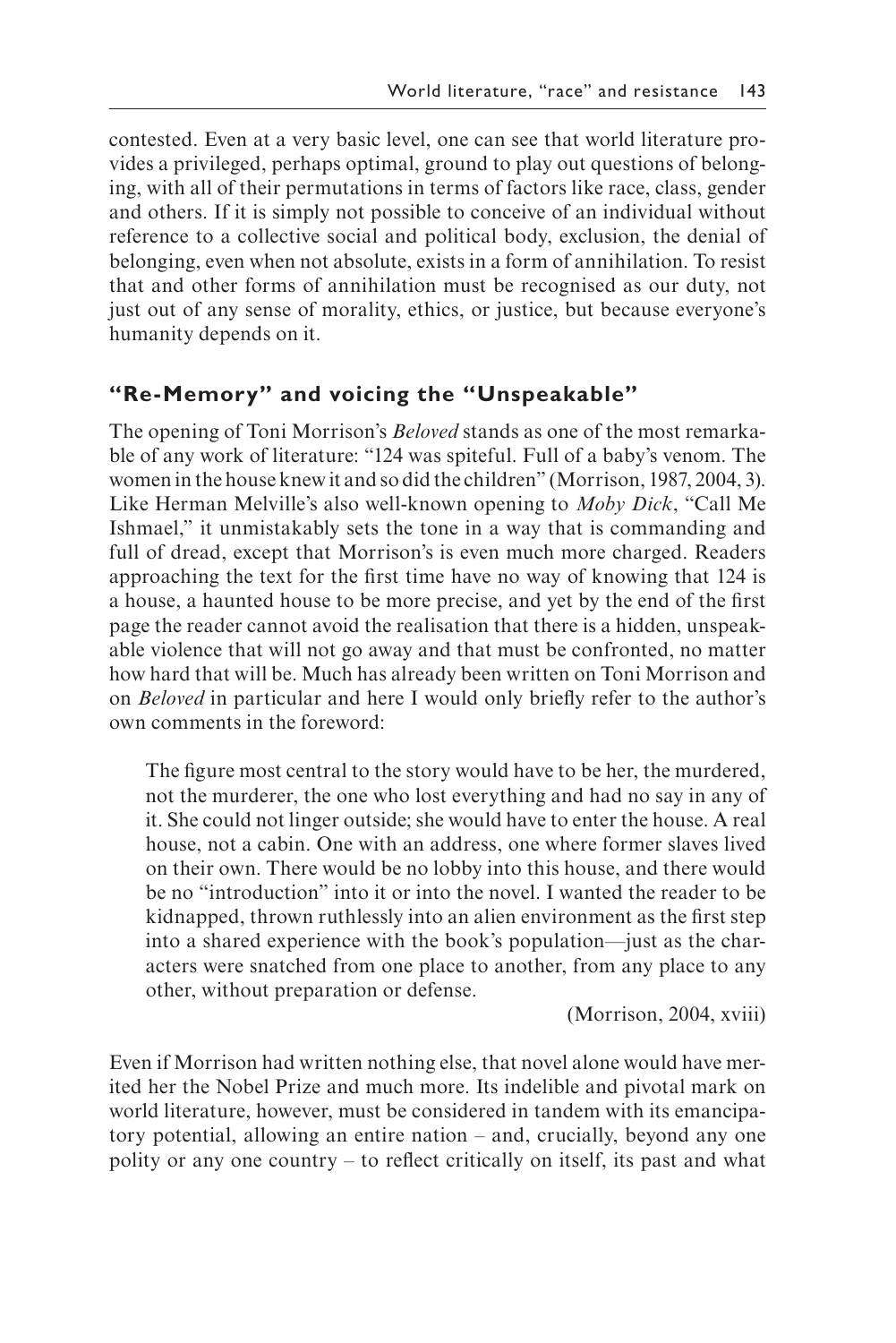contested. Even at a very basic level, one can see that world literature provides a privileged, perhaps optimal, ground to play out questions of belonging, with all of their permutations in terms of factors like race, class, gender and others. If it is simply not possible to conceive of an individual without reference to a collective social and political body, exclusion, the denial of belonging, even when not absolute, exists in a form of annihilation. To resist that and other forms of annihilation must be recognised as our duty, not just out of any sense of morality, ethics, or justice, but because everyone's humanity depends on it.

#### **"Re-Memory" and voicing the "Unspeakable"**

The opening of Toni Morrison's *Beloved* stands as one of the most remarkable of any work of literature: "124 was spiteful. Full of a baby's venom. The women in the house knew it and so did the children" (Morrison, 1987, 2004, 3). Like Herman Melville's also well-known opening to *Moby Dick*, "Call Me Ishmael," it unmistakably sets the tone in a way that is commanding and full of dread, except that Morrison's is even much more charged. Readers approaching the text for the frst time have no way of knowing that 124 is a house, a haunted house to be more precise, and yet by the end of the frst page the reader cannot avoid the realisation that there is a hidden, unspeakable violence that will not go away and that must be confronted, no matter how hard that will be. Much has already been written on Toni Morrison and on *Beloved* in particular and here I would only briefy refer to the author's own comments in the foreword:

The fgure most central to the story would have to be her, the murdered, not the murderer, the one who lost everything and had no say in any of it. She could not linger outside; she would have to enter the house. A real house, not a cabin. One with an address, one where former slaves lived on their own. There would be no lobby into this house, and there would be no "introduction" into it or into the novel. I wanted the reader to be kidnapped, thrown ruthlessly into an alien environment as the frst step into a shared experience with the book's population—just as the characters were snatched from one place to another, from any place to any other, without preparation or defense.

(Morrison, 2004, xviii)

Even if Morrison had written nothing else, that novel alone would have merited her the Nobel Prize and much more. Its indelible and pivotal mark on world literature, however, must be considered in tandem with its emancipatory potential, allowing an entire nation – and, crucially, beyond any one polity or any one country – to refect critically on itself, its past and what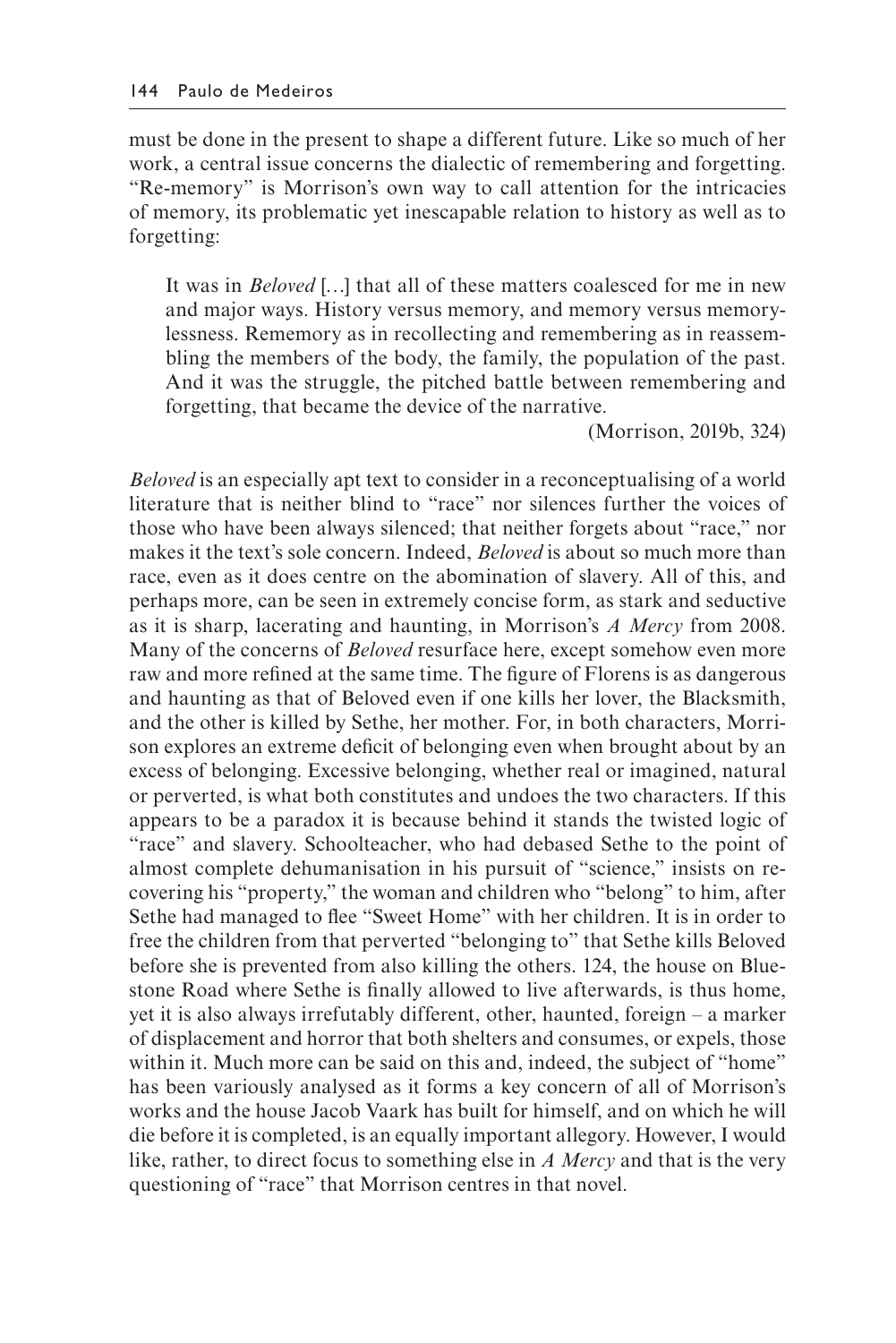must be done in the present to shape a different future. Like so much of her work, a central issue concerns the dialectic of remembering and forgetting. "Re-memory" is Morrison's own way to call attention for the intricacies of memory, its problematic yet inescapable relation to history as well as to forgetting:

It was in *Beloved* […] that all of these matters coalesced for me in new and major ways. History versus memory, and memory versus memorylessness. Rememory as in recollecting and remembering as in reassembling the members of the body, the family, the population of the past. And it was the struggle, the pitched battle between remembering and forgetting, that became the device of the narrative.

(Morrison, 2019b, 324)

*Beloved* is an especially apt text to consider in a reconceptualising of a world literature that is neither blind to "race" nor silences further the voices of those who have been always silenced; that neither forgets about "race," nor makes it the text's sole concern. Indeed, *Beloved* is about so much more than race, even as it does centre on the abomination of slavery. All of this, and perhaps more, can be seen in extremely concise form, as stark and seductive as it is sharp, lacerating and haunting, in Morrison's *A Mercy* from 2008. Many of the concerns of *Beloved* resurface here, except somehow even more raw and more refned at the same time. The fgure of Florens is as dangerous and haunting as that of Beloved even if one kills her lover, the Blacksmith, and the other is killed by Sethe, her mother. For, in both characters, Morrison explores an extreme deficit of belonging even when brought about by an excess of belonging. Excessive belonging, whether real or imagined, natural or perverted, is what both constitutes and undoes the two characters. If this appears to be a paradox it is because behind it stands the twisted logic of "race" and slavery. Schoolteacher, who had debased Sethe to the point of almost complete dehumanisation in his pursuit of "science," insists on recovering his "property," the woman and children who "belong" to him, after Sethe had managed to fee "Sweet Home" with her children. It is in order to free the children from that perverted "belonging to" that Sethe kills Beloved before she is prevented from also killing the others. 124, the house on Bluestone Road where Sethe is fnally allowed to live afterwards, is thus home, yet it is also always irrefutably different, other, haunted, foreign – a marker of displacement and horror that both shelters and consumes, or expels, those within it. Much more can be said on this and, indeed, the subject of "home" has been variously analysed as it forms a key concern of all of Morrison's works and the house Jacob Vaark has built for himself, and on which he will die before it is completed, is an equally important allegory. However, I would like, rather, to direct focus to something else in *A Mercy* and that is the very questioning of "race" that Morrison centres in that novel.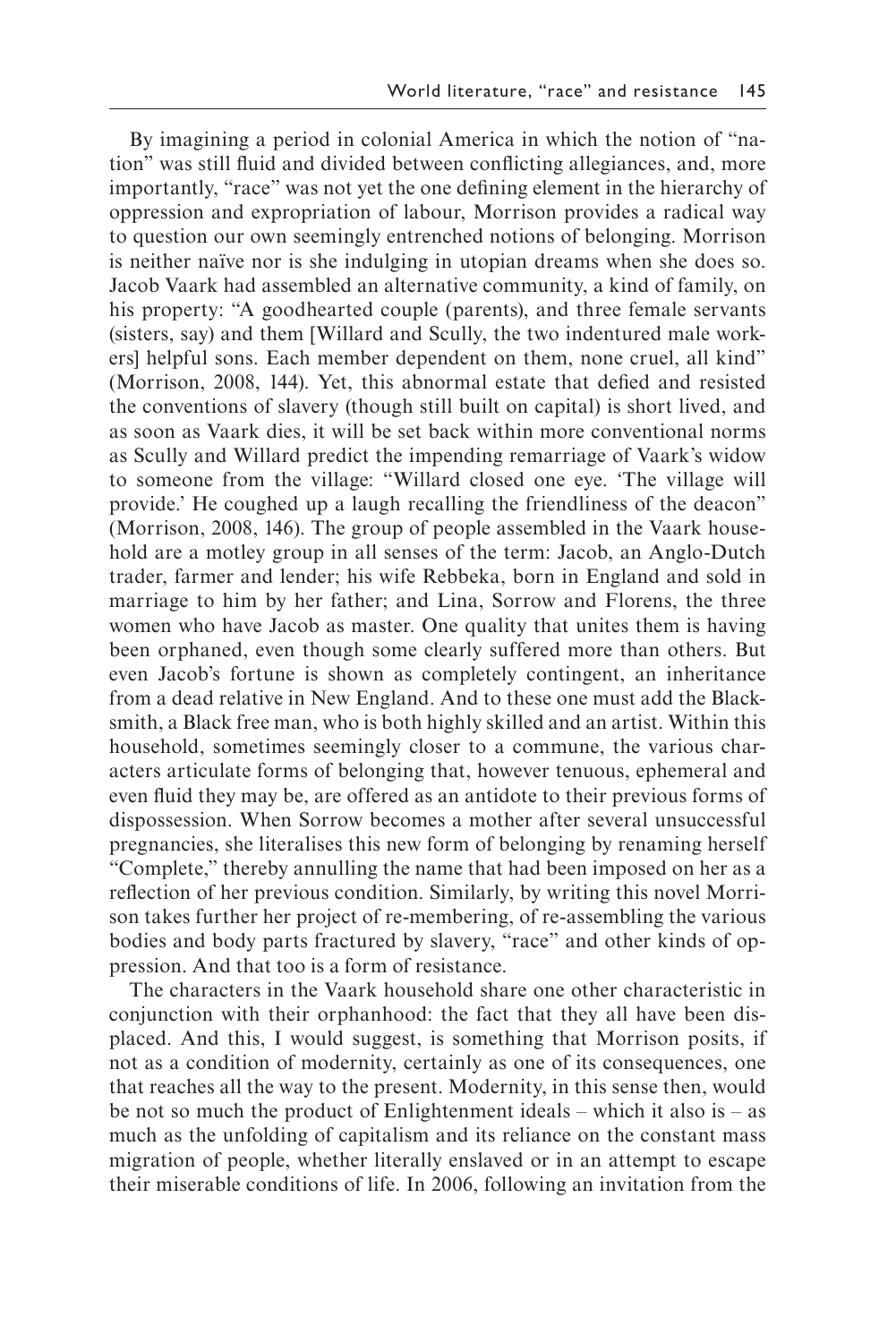By imagining a period in colonial America in which the notion of "nation" was still fuid and divided between conficting allegiances, and, more importantly, "race" was not yet the one defning element in the hierarchy of oppression and expropriation of labour, Morrison provides a radical way to question our own seemingly entrenched notions of belonging. Morrison is neither naïve nor is she indulging in utopian dreams when she does so. Jacob Vaark had assembled an alternative community, a kind of family, on his property: "A goodhearted couple (parents), and three female servants (sisters, say) and them [Willard and Scully, the two indentured male workers] helpful sons. Each member dependent on them, none cruel, all kind" (Morrison, 2008, 144). Yet, this abnormal estate that defed and resisted the conventions of slavery (though still built on capital) is short lived, and as soon as Vaark dies, it will be set back within more conventional norms as Scully and Willard predict the impending remarriage of Vaark's widow to someone from the village: "Willard closed one eye. 'The village will provide.' He coughed up a laugh recalling the friendliness of the deacon" (Morrison, 2008, 146). The group of people assembled in the Vaark household are a motley group in all senses of the term: Jacob, an Anglo-Dutch trader, farmer and lender; his wife Rebbeka, born in England and sold in marriage to him by her father; and Lina, Sorrow and Florens, the three women who have Jacob as master. One quality that unites them is having been orphaned, even though some clearly suffered more than others. But even Jacob's fortune is shown as completely contingent, an inheritance from a dead relative in New England. And to these one must add the Blacksmith, a Black free man, who is both highly skilled and an artist. Within this household, sometimes seemingly closer to a commune, the various characters articulate forms of belonging that, however tenuous, ephemeral and even fuid they may be, are offered as an antidote to their previous forms of dispossession. When Sorrow becomes a mother after several unsuccessful pregnancies, she literalises this new form of belonging by renaming herself "Complete," thereby annulling the name that had been imposed on her as a refection of her previous condition. Similarly, by writing this novel Morrison takes further her project of re-membering, of re-assembling the various bodies and body parts fractured by slavery, "race" and other kinds of oppression. And that too is a form of resistance.

The characters in the Vaark household share one other characteristic in conjunction with their orphanhood: the fact that they all have been displaced. And this, I would suggest, is something that Morrison posits, if not as a condition of modernity, certainly as one of its consequences, one that reaches all the way to the present. Modernity, in this sense then, would be not so much the product of Enlightenment ideals – which it also is – as much as the unfolding of capitalism and its reliance on the constant mass migration of people, whether literally enslaved or in an attempt to escape their miserable conditions of life. In 2006, following an invitation from the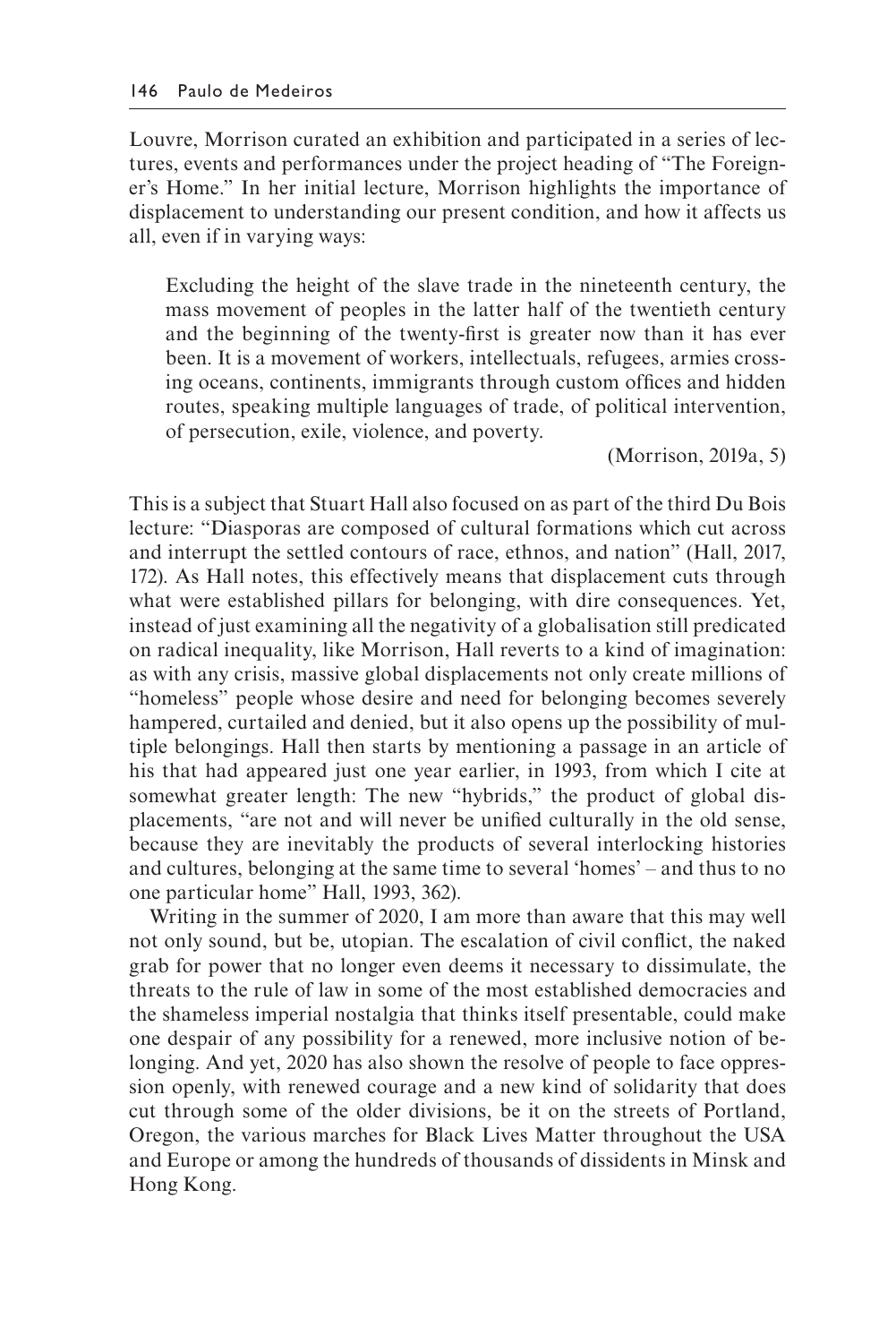Louvre, Morrison curated an exhibition and participated in a series of lectures, events and performances under the project heading of "The Foreigner's Home." In her initial lecture, Morrison highlights the importance of displacement to understanding our present condition, and how it affects us all, even if in varying ways:

Excluding the height of the slave trade in the nineteenth century, the mass movement of peoples in the latter half of the twentieth century and the beginning of the twenty-first is greater now than it has ever been. It is a movement of workers, intellectuals, refugees, armies crossing oceans, continents, immigrants through custom offices and hidden routes, speaking multiple languages of trade, of political intervention, of persecution, exile, violence, and poverty.

(Morrison, 2019a, 5)

This is a subject that Stuart Hall also focused on as part of the third Du Bois lecture: "Diasporas are composed of cultural formations which cut across and interrupt the settled contours of race, ethnos, and nation" (Hall, 2017, 172). As Hall notes, this effectively means that displacement cuts through what were established pillars for belonging, with dire consequences. Yet, instead of just examining all the negativity of a globalisation still predicated on radical inequality, like Morrison, Hall reverts to a kind of imagination: as with any crisis, massive global displacements not only create millions of "homeless" people whose desire and need for belonging becomes severely hampered, curtailed and denied, but it also opens up the possibility of multiple belongings. Hall then starts by mentioning a passage in an article of his that had appeared just one year earlier, in 1993, from which I cite at somewhat greater length: The new "hybrids," the product of global displacements, "are not and will never be unified culturally in the old sense, because they are inevitably the products of several interlocking histories and cultures, belonging at the same time to several 'homes' – and thus to no one particular home" Hall, 1993, 362).

Writing in the summer of 2020, I am more than aware that this may well not only sound, but be, utopian. The escalation of civil conflict, the naked grab for power that no longer even deems it necessary to dissimulate, the threats to the rule of law in some of the most established democracies and the shameless imperial nostalgia that thinks itself presentable, could make one despair of any possibility for a renewed, more inclusive notion of belonging. And yet, 2020 has also shown the resolve of people to face oppression openly, with renewed courage and a new kind of solidarity that does cut through some of the older divisions, be it on the streets of Portland, Oregon, the various marches for Black Lives Matter throughout the USA and Europe or among the hundreds of thousands of dissidents in Minsk and Hong Kong.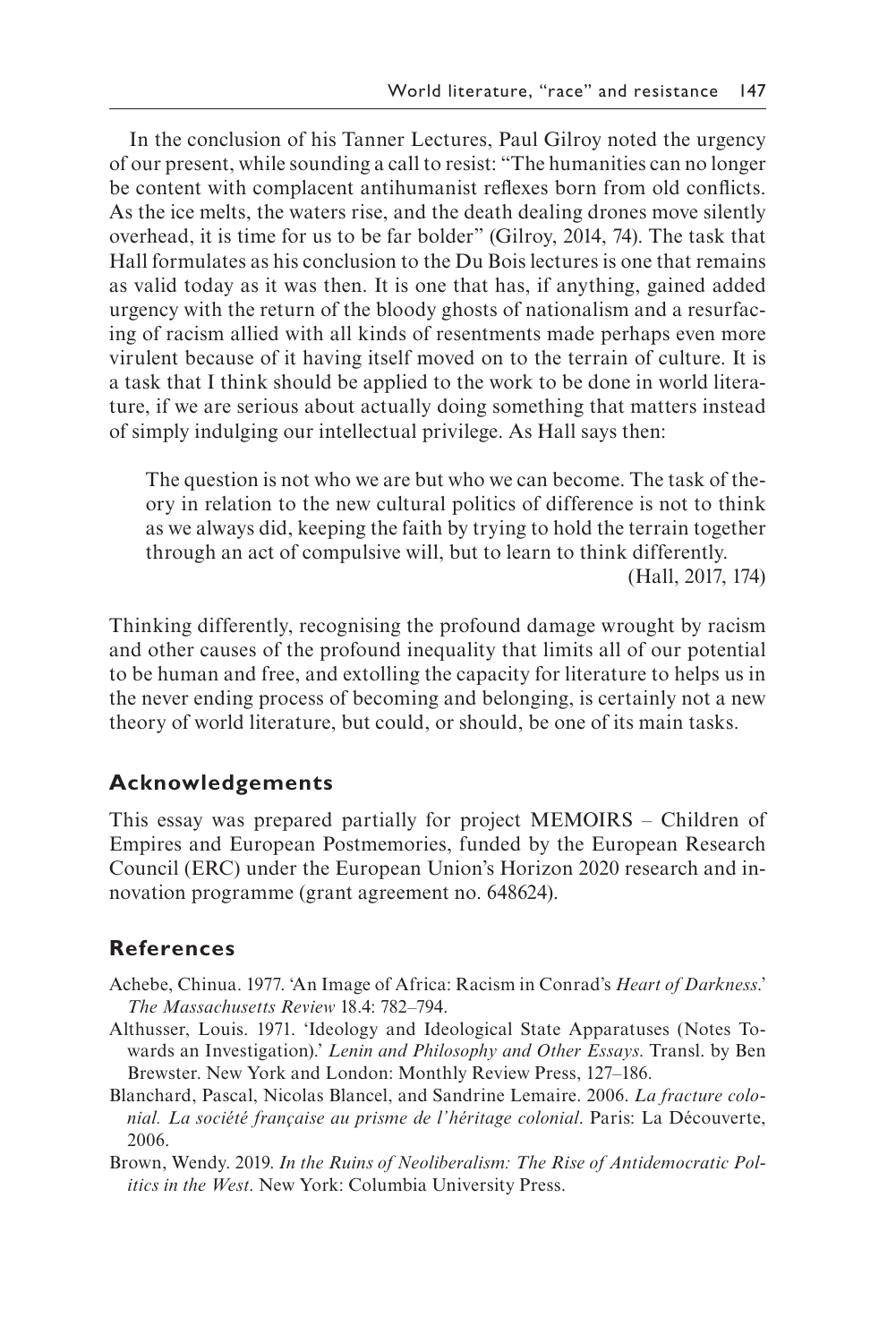In the conclusion of his Tanner Lectures, Paul Gilroy noted the urgency of our present, while sounding a call to resist: "The humanities can no longer be content with complacent antihumanist refexes born from old conficts. As the ice melts, the waters rise, and the death dealing drones move silently overhead, it is time for us to be far bolder" (Gilroy, 2014, 74). The task that Hall formulates as his conclusion to the Du Bois lectures is one that remains as valid today as it was then. It is one that has, if anything, gained added urgency with the return of the bloody ghosts of nationalism and a resurfacing of racism allied with all kinds of resentments made perhaps even more virulent because of it having itself moved on to the terrain of culture. It is a task that I think should be applied to the work to be done in world literature, if we are serious about actually doing something that matters instead of simply indulging our intellectual privilege. As Hall says then:

The question is not who we are but who we can become. The task of theory in relation to the new cultural politics of difference is not to think as we always did, keeping the faith by trying to hold the terrain together through an act of compulsive will, but to learn to think differently.

(Hall, 2017, 174)

Thinking differently, recognising the profound damage wrought by racism and other causes of the profound inequality that limits all of our potential to be human and free, and extolling the capacity for literature to helps us in the never ending process of becoming and belonging, is certainly not a new theory of world literature, but could, or should, be one of its main tasks.

# **Acknowledgements**

This essay was prepared partially for project MEMOIRS – Children of Empires and European Postmemories, funded by the European Research Council (ERC) under the European Union's Horizon 2020 research and innovation programme (grant agreement no. 648624).

## **References**

- Achebe, Chinua. 1977. 'An Image of Africa: Racism in Conrad's *Heart of Darkness*.' *The Massachusetts Review* 18.4: 782–794.
- Althusser, Louis. 1971. 'Ideology and Ideological State Apparatuses (Notes Towards an Investigation).' *Lenin and Philosophy and Other Essays*. Transl. by Ben Brewster. New York and London: Monthly Review Press, 127–186.
- Blanchard, Pascal, Nicolas Blancel, and Sandrine Lemaire. 2006. *La fracture colonial. La société française au prisme de l'héritage colonial*. Paris: La Découverte, 2006.
- Brown, Wendy. 2019. *In the Ruins of Neoliberalism: The Rise of Antidemocratic Politics in the West*. New York: Columbia University Press.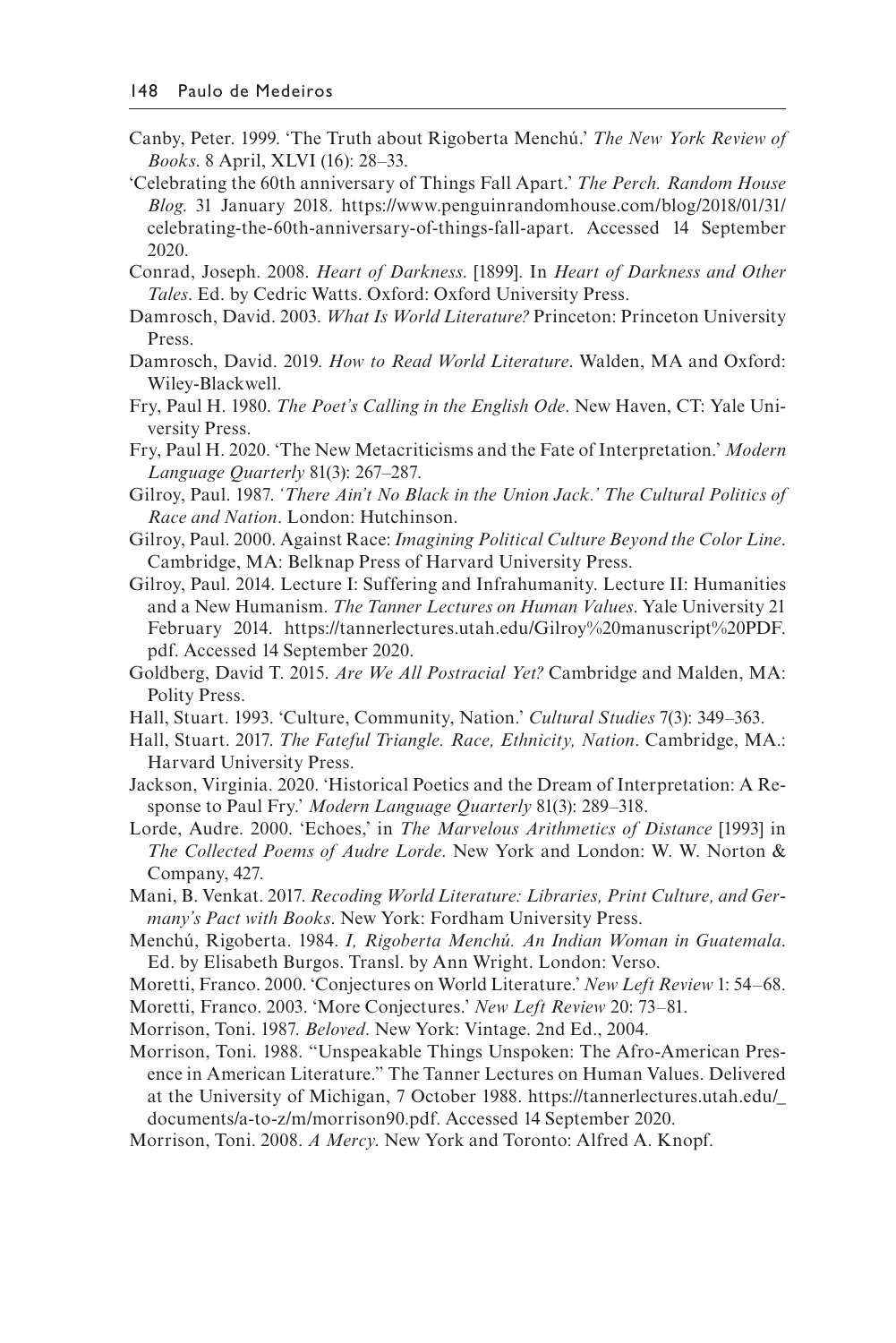- Canby, Peter. 1999. 'The Truth about Rigoberta Menchú.' *The New York Review of Books*. 8 April, XLVI (16): 28–33.
- 'Celebrating the 60th anniversary of Things Fall Apart.' *The Perch. Random House Blog*. 31 January 2018. [https://www.penguinrandomhouse.com/blog/2018/01/31/](https://www.penguinrandomhouse.com)  [celebrating-the-60th-anniversary-of-things-fall-apart.](https://www.penguinrandomhouse.com) Accessed 14 September 2020.
- Conrad, Joseph. 2008. *Heart of Darkness*. [1899]. In *Heart of Darkness and Other Tales*. Ed. by Cedric Watts. Oxford: Oxford University Press.
- Damrosch, David. 2003. *What Is World Literature?* Princeton: Princeton University Press.
- Damrosch, David. 2019. *How to Read World Literature*. Walden, MA and Oxford: Wiley-Blackwell.
- Fry, Paul H. 1980. *The Poet's Calling in the English Ode*. New Haven, CT: Yale University Press.
- Fry, Paul H. 2020. 'The New Metacriticisms and the Fate of Interpretation.' *Modern Language Quarterly* 81(3): 267–287.
- Gilroy, Paul. 1987. *'There Ain't No Black in the Union Jack.' The Cultural Politics of Race and Nation*. London: Hutchinson.
- Gilroy, Paul. 2000. Against Race: *Imagining Political Culture Beyond the Color Line*. Cambridge, MA: Belknap Press of Harvard University Press.
- Gilroy, Paul. 2014. Lecture I: Suffering and Infrahumanity. Lecture II: Humanities and a New Humanism. *The Tanner Lectures on Human Values*. Yale University 21 February 2014. [https://tannerlectures.utah.edu/Gilroy%20manuscript%20PDF.](https://tannerlectures.utah.edu)  [pdf. A](https://tannerlectures.utah.edu)ccessed 14 September 2020.
- Goldberg, David T. 2015. *Are We All Postracial Yet?* Cambridge and Malden, MA: Polity Press.
- Hall, Stuart. 1993. 'Culture, Community, Nation.' *Cultural Studies* 7(3): 349–363.
- Hall, Stuart. 2017. *The Fateful Triangle. Race, Ethnicity, Nation*. Cambridge, MA.: Harvard University Press.
- Jackson, Virginia. 2020. 'Historical Poetics and the Dream of Interpretation: A Response to Paul Fry.' *Modern Language Quarterly* 81(3): 289–318.
- Lorde, Audre. 2000. 'Echoes,' in *The Marvelous Arithmetics of Distance* [1993] in *The Collected Poems of Audre Lorde*. New York and London: W. W. Norton & Company, 427.
- Mani, B. Venkat. 2017. *Recoding World Literature: Libraries, Print Culture, and Germany's Pact with Books*. New York: Fordham University Press.
- Menchú, Rigoberta. 1984. *I, Rigoberta Menchú. An Indian Woman in Guatemala*. Ed. by Elisabeth Burgos. Transl. by Ann Wright. London: Verso.
- Moretti, Franco. 2000. 'Conjectures on World Literature.' *New Left Review* 1: 54–68.
- Moretti, Franco. 2003. 'More Conjectures.' *New Left Review* 20: 73–81.
- Morrison, Toni. 1987. *Beloved*. New York: Vintage. 2nd Ed., 2004.
- Morrison, Toni. 1988. "Unspeakable Things Unspoken: The Afro-American Presence in American Literature." The Tanner Lectures on Human Values. Delivered at the University of Michigan, 7 October 1988. [https://tannerlectures.utah.edu/\\_](https://tannerlectures.utah.edu)  [documents/a-to-z/m/morrison90.pdf. A](https://tannerlectures.utah.edu)ccessed 14 September 2020.
- Morrison, Toni. 2008. *A Mercy*. New York and Toronto: Alfred A. Knopf.